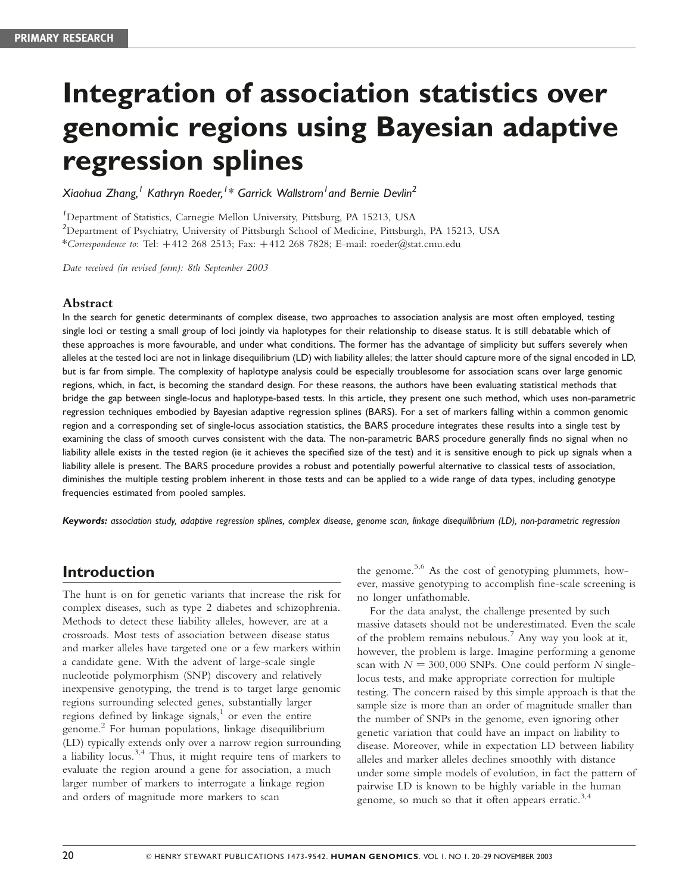# Integration of association statistics over genomic regions using Bayesian adaptive regression splines

Xiaohua Zhang, <sup>I</sup> Kathryn Roeder, <sup>I</sup> \* Garrick Wallstrom <sup>I</sup> and Bernie Devlin<sup>2</sup>

1 Department of Statistics, Carnegie Mellon University, Pittsburg, PA 15213, USA

<sup>2</sup>Department of Psychiatry, University of Pittsburgh School of Medicine, Pittsburgh, PA 15213, USA \*Correspondence to: Tel:  $+412$  268 2513; Fax:  $+412$  268 7828; E-mail: roeder@stat.cmu.edu

Date received (in revised form): 8th September 2003

#### Abstract

In the search for genetic determinants of complex disease, two approaches to association analysis are most often employed, testing single loci or testing a small group of loci jointly via haplotypes for their relationship to disease status. It is still debatable which of these approaches is more favourable, and under what conditions. The former has the advantage of simplicity but suffers severely when alleles at the tested loci are not in linkage disequilibrium (LD) with liability alleles; the latter should capture more of the signal encoded in LD, but is far from simple. The complexity of haplotype analysis could be especially troublesome for association scans over large genomic regions, which, in fact, is becoming the standard design. For these reasons, the authors have been evaluating statistical methods that bridge the gap between single-locus and haplotype-based tests. In this article, they present one such method, which uses non-parametric regression techniques embodied by Bayesian adaptive regression splines (BARS). For a set of markers falling within a common genomic region and a corresponding set of single-locus association statistics, the BARS procedure integrates these results into a single test by examining the class of smooth curves consistent with the data. The non-parametric BARS procedure generally finds no signal when no liability allele exists in the tested region (ie it achieves the specified size of the test) and it is sensitive enough to pick up signals when a liability allele is present. The BARS procedure provides a robust and potentially powerful alternative to classical tests of association, diminishes the multiple testing problem inherent in those tests and can be applied to a wide range of data types, including genotype frequencies estimated from pooled samples.

Keywords: association study, adaptive regression splines, complex disease, genome scan, linkage disequilibrium (LD), non-parametric regression

# Introduction

The hunt is on for genetic variants that increase the risk for complex diseases, such as type 2 diabetes and schizophrenia. Methods to detect these liability alleles, however, are at a crossroads. Most tests of association between disease status and marker alleles have targeted one or a few markers within a candidate gene. With the advent of large-scale single nucleotide polymorphism (SNP) discovery and relatively inexpensive genotyping, the trend is to target large genomic regions surrounding selected genes, substantially larger regions defined by linkage signals, $<sup>1</sup>$  or even the entire</sup> genome.<sup>2</sup> For human populations, linkage disequilibrium (LD) typically extends only over a narrow region surrounding a liability locus.<sup>3,4</sup> Thus, it might require tens of markers to evaluate the region around a gene for association, a much larger number of markers to interrogate a linkage region and orders of magnitude more markers to scan

the genome.<sup>5,6</sup> As the cost of genotyping plummets, however, massive genotyping to accomplish fine-scale screening is no longer unfathomable.

For the data analyst, the challenge presented by such massive datasets should not be underestimated. Even the scale of the problem remains nebulous.<sup>7</sup> Any way you look at it, however, the problem is large. Imagine performing a genome scan with  $N = 300,000$  SNPs. One could perform N singlelocus tests, and make appropriate correction for multiple testing. The concern raised by this simple approach is that the sample size is more than an order of magnitude smaller than the number of SNPs in the genome, even ignoring other genetic variation that could have an impact on liability to disease. Moreover, while in expectation LD between liability alleles and marker alleles declines smoothly with distance under some simple models of evolution, in fact the pattern of pairwise LD is known to be highly variable in the human genome, so much so that it often appears erratic. $3,4$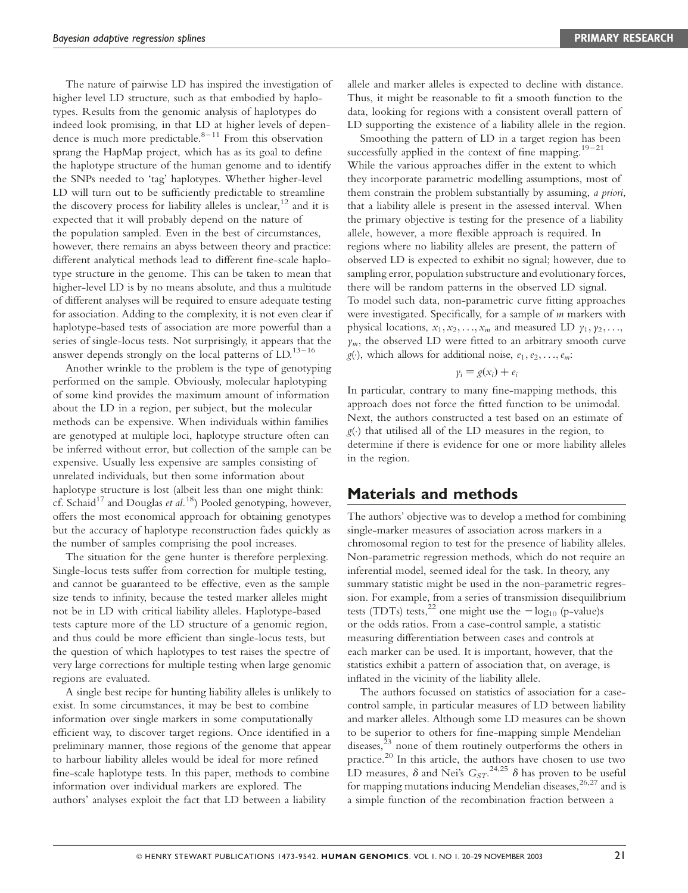The nature of pairwise LD has inspired the investigation of higher level LD structure, such as that embodied by haplotypes. Results from the genomic analysis of haplotypes do indeed look promising, in that LD at higher levels of dependence is much more predictable. $8-11$  From this observation sprang the HapMap project, which has as its goal to define the haplotype structure of the human genome and to identify the SNPs needed to 'tag' haplotypes. Whether higher-level LD will turn out to be sufficiently predictable to streamline the discovery process for liability alleles is unclear,  $^{12}$  and it is expected that it will probably depend on the nature of the population sampled. Even in the best of circumstances, however, there remains an abyss between theory and practice: different analytical methods lead to different fine-scale haplotype structure in the genome. This can be taken to mean that higher-level LD is by no means absolute, and thus a multitude of different analyses will be required to ensure adequate testing for association. Adding to the complexity, it is not even clear if haplotype-based tests of association are more powerful than a series of single-locus tests. Not surprisingly, it appears that the answer depends strongly on the local patterns of  $LD<sup>13-16</sup>$ 

Another wrinkle to the problem is the type of genotyping performed on the sample. Obviously, molecular haplotyping of some kind provides the maximum amount of information about the LD in a region, per subject, but the molecular methods can be expensive. When individuals within families are genotyped at multiple loci, haplotype structure often can be inferred without error, but collection of the sample can be expensive. Usually less expensive are samples consisting of unrelated individuals, but then some information about haplotype structure is lost (albeit less than one might think: cf. Schaid<sup>17</sup> and Douglas et al.<sup>18</sup>) Pooled genotyping, however, offers the most economical approach for obtaining genotypes but the accuracy of haplotype reconstruction fades quickly as the number of samples comprising the pool increases.

The situation for the gene hunter is therefore perplexing. Single-locus tests suffer from correction for multiple testing, and cannot be guaranteed to be effective, even as the sample size tends to infinity, because the tested marker alleles might not be in LD with critical liability alleles. Haplotype-based tests capture more of the LD structure of a genomic region, and thus could be more efficient than single-locus tests, but the question of which haplotypes to test raises the spectre of very large corrections for multiple testing when large genomic regions are evaluated.

A single best recipe for hunting liability alleles is unlikely to exist. In some circumstances, it may be best to combine information over single markers in some computationally efficient way, to discover target regions. Once identified in a preliminary manner, those regions of the genome that appear to harbour liability alleles would be ideal for more refined fine-scale haplotype tests. In this paper, methods to combine information over individual markers are explored. The authors' analyses exploit the fact that LD between a liability

allele and marker alleles is expected to decline with distance. Thus, it might be reasonable to fit a smooth function to the data, looking for regions with a consistent overall pattern of LD supporting the existence of a liability allele in the region.

Smoothing the pattern of LD in a target region has been successfully applied in the context of fine mapping.<sup>19–21</sup> While the various approaches differ in the extent to which they incorporate parametric modelling assumptions, most of them constrain the problem substantially by assuming, a priori, that a liability allele is present in the assessed interval. When the primary objective is testing for the presence of a liability allele, however, a more flexible approach is required. In regions where no liability alleles are present, the pattern of observed LD is expected to exhibit no signal; however, due to sampling error, population substructure and evolutionary forces, there will be random patterns in the observed LD signal. To model such data, non-parametric curve fitting approaches were investigated. Specifically, for a sample of *m* markers with physical locations,  $x_1, x_2, \ldots, x_m$  and measured LD  $y_1, y_2, \ldots,$  $y_m$ , the observed LD were fitted to an arbitrary smooth curve  $g(\cdot)$ , which allows for additional noise,  $e_1, e_2, \ldots, e_m$ :

#### $y_i = g(x_i) + e_i$

In particular, contrary to many fine-mapping methods, this approach does not force the fitted function to be unimodal. Next, the authors constructed a test based on an estimate of  $g(\cdot)$  that utilised all of the LD measures in the region, to determine if there is evidence for one or more liability alleles in the region.

## Materials and methods

The authors' objective was to develop a method for combining single-marker measures of association across markers in a chromosomal region to test for the presence of liability alleles. Non-parametric regression methods, which do not require an inferential model, seemed ideal for the task. In theory, any summary statistic might be used in the non-parametric regression. For example, from a series of transmission disequilibrium tests (TDTs) tests,<sup>22</sup> one might use the  $-\log_{10} (p-value)s$ or the odds ratios. From a case-control sample, a statistic measuring differentiation between cases and controls at each marker can be used. It is important, however, that the statistics exhibit a pattern of association that, on average, is inflated in the vicinity of the liability allele.

The authors focussed on statistics of association for a casecontrol sample, in particular measures of LD between liability and marker alleles. Although some LD measures can be shown to be superior to others for fine-mapping simple Mendelian diseases, $\frac{23}{3}$  none of them routinely outperforms the others in practice.<sup>20</sup> In this article, the authors have chosen to use two LD measures,  $\delta$  and Nei's  $G_{ST}$ .  $^{24,25}$   $\delta$  has proven to be useful for mapping mutations inducing Mendelian diseases,<sup>26,27</sup> and is a simple function of the recombination fraction between a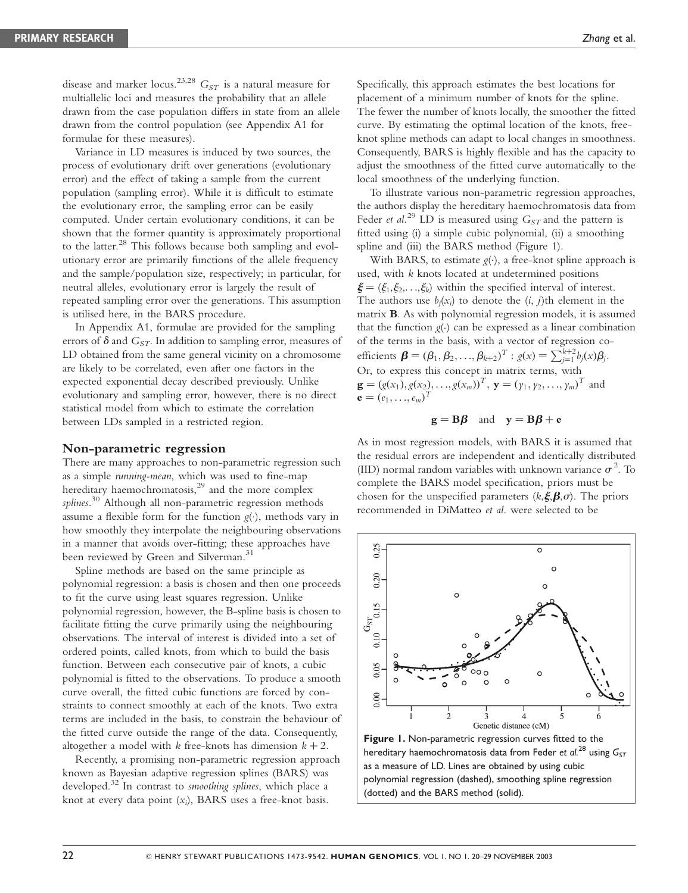disease and marker locus.<sup>23,28</sup>  $G_{ST}$  is a natural measure for multiallelic loci and measures the probability that an allele drawn from the case population differs in state from an allele drawn from the control population (see Appendix A1 for formulae for these measures).

Variance in LD measures is induced by two sources, the process of evolutionary drift over generations (evolutionary error) and the effect of taking a sample from the current population (sampling error). While it is difficult to estimate the evolutionary error, the sampling error can be easily computed. Under certain evolutionary conditions, it can be shown that the former quantity is approximately proportional to the latter.<sup>28</sup> This follows because both sampling and evolutionary error are primarily functions of the allele frequency and the sample/population size, respectively; in particular, for neutral alleles, evolutionary error is largely the result of repeated sampling error over the generations. This assumption is utilised here, in the BARS procedure.

In Appendix A1, formulae are provided for the sampling errors of  $\delta$  and  $G_{ST}$ . In addition to sampling error, measures of LD obtained from the same general vicinity on a chromosome are likely to be correlated, even after one factors in the expected exponential decay described previously. Unlike evolutionary and sampling error, however, there is no direct statistical model from which to estimate the correlation between LDs sampled in a restricted region.

#### Non-parametric regression

There are many approaches to non-parametric regression such as a simple running-mean, which was used to fine-map hereditary haemochromatosis, $2^9$  and the more complex splines.<sup>30</sup> Although all non-parametric regression methods assume a flexible form for the function  $g(\cdot)$ , methods vary in how smoothly they interpolate the neighbouring observations in a manner that avoids over-fitting; these approaches have been reviewed by Green and Silverman.<sup>31</sup>

Spline methods are based on the same principle as polynomial regression: a basis is chosen and then one proceeds to fit the curve using least squares regression. Unlike polynomial regression, however, the B-spline basis is chosen to facilitate fitting the curve primarily using the neighbouring observations. The interval of interest is divided into a set of ordered points, called knots, from which to build the basis function. Between each consecutive pair of knots, a cubic polynomial is fitted to the observations. To produce a smooth curve overall, the fitted cubic functions are forced by constraints to connect smoothly at each of the knots. Two extra terms are included in the basis, to constrain the behaviour of the fitted curve outside the range of the data. Consequently, altogether a model with k free-knots has dimension  $k + 2$ .

Recently, a promising non-parametric regression approach known as Bayesian adaptive regression splines (BARS) was developed.<sup>32</sup> In contrast to *smoothing splines*, which place a knot at every data point  $(x_i)$ , BARS uses a free-knot basis.

Specifically, this approach estimates the best locations for placement of a minimum number of knots for the spline. The fewer the number of knots locally, the smoother the fitted curve. By estimating the optimal location of the knots, freeknot spline methods can adapt to local changes in smoothness. Consequently, BARS is highly flexible and has the capacity to adjust the smoothness of the fitted curve automatically to the local smoothness of the underlying function.

To illustrate various non-parametric regression approaches, the authors display the hereditary haemochromatosis data from Feder et al.<sup>29</sup> LD is measured using  $G_{ST}$  and the pattern is fitted using (i) a simple cubic polynomial, (ii) a smoothing spline and (iii) the BARS method (Figure 1).

With BARS, to estimate  $g(\cdot)$ , a free-knot spline approach is used, with k knots located at undetermined positions  $\xi = (\xi_1, \xi_2, \ldots, \xi_k)$  within the specified interval of interest. The authors use  $b_j(x_i)$  to denote the  $(i, j)$ th element in the matrix B. As with polynomial regression models, it is assumed that the function  $g(.)$  can be expressed as a linear combination of the terms in the basis, with a vector of regression coefficients  $\mathbf{\beta} = (\beta_1, \beta_2, ..., \beta_{k+2})^T : g(x) = \sum_{j=1}^{k+2} b_j(x) \beta_j.$ Or, to express this concept in matrix terms, with  $\mathbf{g} = (g(x_1), g(x_2), \dots, g(x_m))^T$ ,  $\mathbf{y} = (y_1, y_2, \dots, y_m)^T$  and  ${\bf e} = (e_1, ..., e_m)^T$ 

$$
g = B\beta
$$
 and  $y = B\beta + e$ 

As in most regression models, with BARS it is assumed that the residual errors are independent and identically distributed (IID) normal random variables with unknown variance  $\sigma^2$ . To complete the BARS model specification, priors must be chosen for the unspecified parameters  $(k,\xi,\beta,\sigma)$ . The priors recommended in DiMatteo et al. were selected to be



polynomial regression (dashed), smoothing spline regression (dotted) and the BARS method (solid).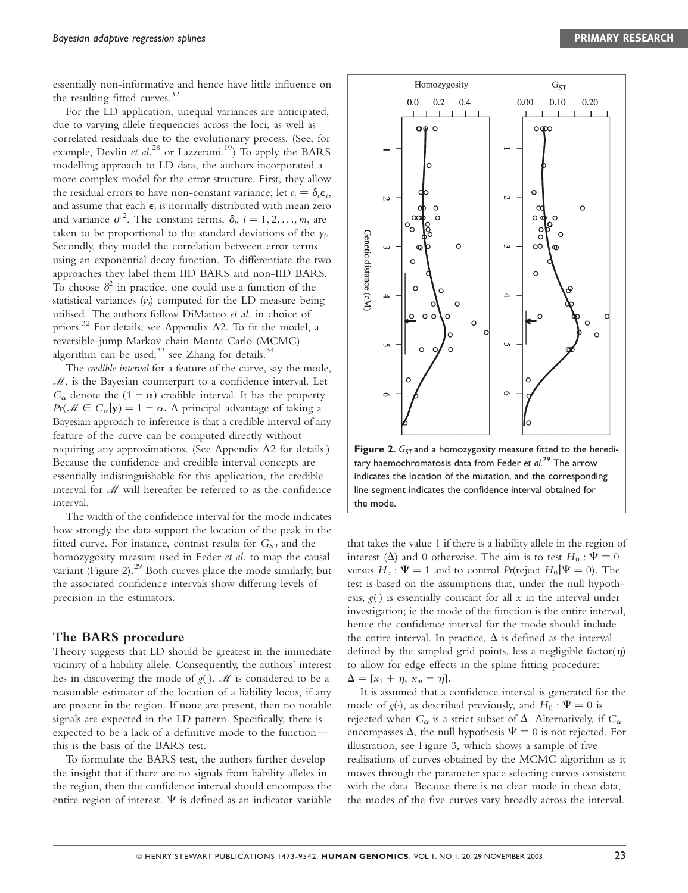essentially non-informative and hence have little influence on the resulting fitted curves.<sup>32</sup>

For the LD application, unequal variances are anticipated, due to varying allele frequencies across the loci, as well as correlated residuals due to the evolutionary process. (See, for example, Devlin et al.<sup>28</sup> or Lazzeroni.<sup>19</sup>) To apply the BARS modelling approach to LD data, the authors incorporated a more complex model for the error structure. First, they allow the residual errors to have non-constant variance; let  $e_i = \delta_i \epsilon_i$ ; and assume that each  $\epsilon_i$  is normally distributed with mean zero and variance  $\sigma^2$ . The constant terms,  $\delta_i$ ,  $i = 1, 2, ..., m$ , are taken to be proportional to the standard deviations of the  $\gamma_i$ . Secondly, they model the correlation between error terms using an exponential decay function. To differentiate the two approaches they label them IID BARS and non-IID BARS. To choose  $\delta_i^2$  in practice, one could use a function of the statistical variances  $(v_i)$  computed for the LD measure being utilised. The authors follow DiMatteo et al. in choice of priors.<sup>32</sup> For details, see Appendix A2. To fit the model, a reversible-jump Markov chain Monte Carlo (MCMC) algorithm can be used; $33$  see Zhang for details. $34$ 

The credible interval for a feature of the curve, say the mode,  $M$ , is the Bayesian counterpart to a confidence interval. Let  $C_{\alpha}$  denote the  $(1 - \alpha)$  credible interval. It has the property  $Pr(\mathcal{M} \in C_{\alpha} | \mathbf{y}) = 1 - \alpha$ . A principal advantage of taking a Bayesian approach to inference is that a credible interval of any feature of the curve can be computed directly without requiring any approximations. (See Appendix A2 for details.) Because the confidence and credible interval concepts are essentially indistinguishable for this application, the credible interval for M will hereafter be referred to as the confidence interval.

The width of the confidence interval for the mode indicates how strongly the data support the location of the peak in the fitted curve. For instance, contrast results for  $G_{ST}$  and the homozygosity measure used in Feder et al. to map the causal variant (Figure 2). $^{29}$  Both curves place the mode similarly, but the associated confidence intervals show differing levels of precision in the estimators.

#### The BARS procedure

Theory suggests that LD should be greatest in the immediate vicinity of a liability allele. Consequently, the authors' interest lies in discovering the mode of  $g(\cdot)$ . *M* is considered to be a reasonable estimator of the location of a liability locus, if any are present in the region. If none are present, then no notable signals are expected in the LD pattern. Specifically, there is expected to be a lack of a definitive mode to the function this is the basis of the BARS test.

To formulate the BARS test, the authors further develop the insight that if there are no signals from liability alleles in the region, then the confidence interval should encompass the entire region of interest.  $\Psi$  is defined as an indicator variable



tary haemochromatosis data from Feder et  $al^{29}$  The arrow indicates the location of the mutation, and the corresponding line segment indicates the confidence interval obtained for the mode.

that takes the value 1 if there is a liability allele in the region of interest ( $\Delta$ ) and 0 otherwise. The aim is to test  $H_0$ :  $\Psi = 0$ versus  $H_a$ :  $\Psi = 1$  and to control Pr(reject  $H_0|\Psi = 0$ ). The test is based on the assumptions that, under the null hypothesis,  $g(\cdot)$  is essentially constant for all x in the interval under investigation; ie the mode of the function is the entire interval, hence the confidence interval for the mode should include the entire interval. In practice,  $\Delta$  is defined as the interval defined by the sampled grid points, less a negligible factor( $\eta$ ) to allow for edge effects in the spline fitting procedure:  $\Delta = [x_1 + \eta, x_m - \eta].$ 

It is assumed that a confidence interval is generated for the mode of  $g(\cdot)$ , as described previously, and  $H_0 : \Psi = 0$  is rejected when  $C_{\alpha}$  is a strict subset of  $\Delta$ . Alternatively, if  $C_{\alpha}$ encompasses  $\Delta$ , the null hypothesis  $\Psi = 0$  is not rejected. For illustration, see Figure 3, which shows a sample of five realisations of curves obtained by the MCMC algorithm as it moves through the parameter space selecting curves consistent with the data. Because there is no clear mode in these data, the modes of the five curves vary broadly across the interval.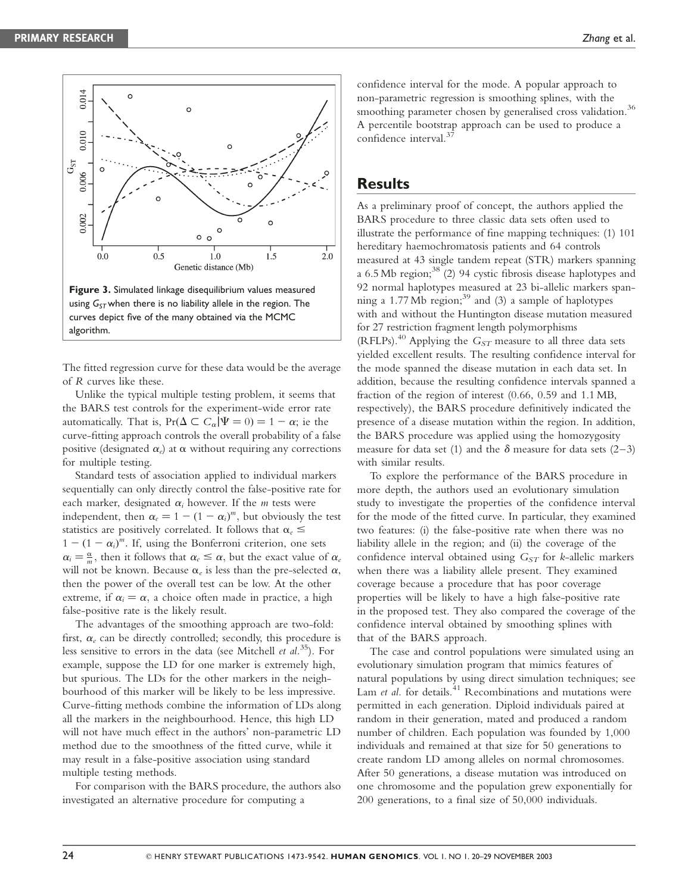

The fitted regression curve for these data would be the average of R curves like these.

Unlike the typical multiple testing problem, it seems that the BARS test controls for the experiment-wide error rate automatically. That is,  $Pr(\Delta \subset C_{\alpha}|\Psi = 0) = 1 - \alpha$ ; ie the curve-fitting approach controls the overall probability of a false positive (designated  $\alpha_e$ ) at  $\alpha$  without requiring any corrections for multiple testing.

Standard tests of association applied to individual markers sequentially can only directly control the false-positive rate for each marker, designated  $\alpha_i$  however. If the *m* tests were independent, then  $\alpha_e = 1 - (1 - \alpha_i)^m$ , but obviously the test statistics are positively correlated. It follows that  $\alpha_e \leq$  $1 - (1 - \alpha_i)^m$ . If, using the Bonferroni criterion, one sets  $\alpha_i = \frac{\alpha}{m}$ , then it follows that  $\alpha_e \leq \alpha$ , but the exact value of  $\alpha_e$ will not be known. Because  $\alpha_e$  is less than the pre-selected  $\alpha$ , then the power of the overall test can be low. At the other extreme, if  $\alpha_i = \alpha$ , a choice often made in practice, a high false-positive rate is the likely result.

The advantages of the smoothing approach are two-fold: first,  $\alpha_e$  can be directly controlled; secondly, this procedure is less sensitive to errors in the data (see Mitchell *et al.*<sup>35</sup>). For example, suppose the LD for one marker is extremely high, but spurious. The LDs for the other markers in the neighbourhood of this marker will be likely to be less impressive. Curve-fitting methods combine the information of LDs along all the markers in the neighbourhood. Hence, this high LD will not have much effect in the authors' non-parametric LD method due to the smoothness of the fitted curve, while it may result in a false-positive association using standard multiple testing methods.

For comparison with the BARS procedure, the authors also investigated an alternative procedure for computing a

confidence interval for the mode. A popular approach to non-parametric regression is smoothing splines, with the smoothing parameter chosen by generalised cross validation.<sup>36</sup> A percentile bootstrap approach can be used to produce a confidence interval.<sup>3</sup>

### **Results**

As a preliminary proof of concept, the authors applied the BARS procedure to three classic data sets often used to illustrate the performance of fine mapping techniques: (1) 101 hereditary haemochromatosis patients and 64 controls measured at 43 single tandem repeat (STR) markers spanning a 6.5 Mb region;  $38(2)$  94 cystic fibrosis disease haplotypes and 92 normal haplotypes measured at 23 bi-allelic markers spanning a 1.77 Mb region;<sup>39</sup> and (3) a sample of haplotypes with and without the Huntington disease mutation measured for 27 restriction fragment length polymorphisms (RFLPs).<sup>40</sup> Applying the  $G_{ST}$  measure to all three data sets yielded excellent results. The resulting confidence interval for the mode spanned the disease mutation in each data set. In addition, because the resulting confidence intervals spanned a fraction of the region of interest (0.66, 0.59 and 1.1 MB, respectively), the BARS procedure definitively indicated the presence of a disease mutation within the region. In addition, the BARS procedure was applied using the homozygosity measure for data set (1) and the  $\delta$  measure for data sets (2–3) with similar results.

To explore the performance of the BARS procedure in more depth, the authors used an evolutionary simulation study to investigate the properties of the confidence interval for the mode of the fitted curve. In particular, they examined two features: (i) the false-positive rate when there was no liability allele in the region; and (ii) the coverage of the confidence interval obtained using  $G<sub>ST</sub>$  for k-allelic markers when there was a liability allele present. They examined coverage because a procedure that has poor coverage properties will be likely to have a high false-positive rate in the proposed test. They also compared the coverage of the confidence interval obtained by smoothing splines with that of the BARS approach.

The case and control populations were simulated using an evolutionary simulation program that mimics features of natural populations by using direct simulation techniques; see Lam et al. for details. $41$  Recombinations and mutations were permitted in each generation. Diploid individuals paired at random in their generation, mated and produced a random number of children. Each population was founded by 1,000 individuals and remained at that size for 50 generations to create random LD among alleles on normal chromosomes. After 50 generations, a disease mutation was introduced on one chromosome and the population grew exponentially for 200 generations, to a final size of 50,000 individuals.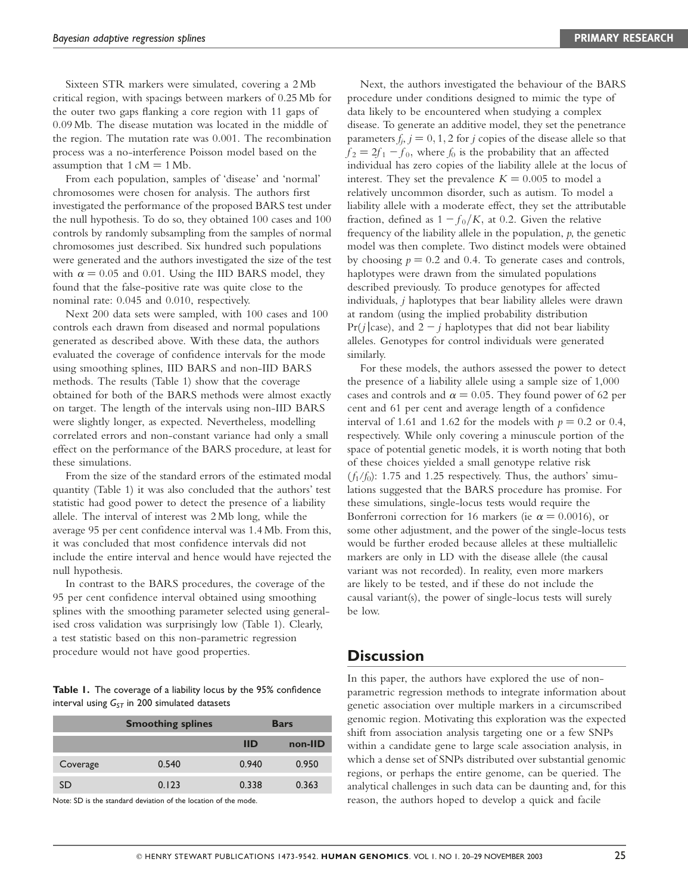Sixteen STR markers were simulated, covering a 2 Mb critical region, with spacings between markers of 0.25 Mb for the outer two gaps flanking a core region with 11 gaps of 0.09 Mb. The disease mutation was located in the middle of the region. The mutation rate was 0.001. The recombination process was a no-interference Poisson model based on the assumption that  $1 \text{ cM} = 1 \text{ Mb}$ .

From each population, samples of 'disease' and 'normal' chromosomes were chosen for analysis. The authors first investigated the performance of the proposed BARS test under the null hypothesis. To do so, they obtained 100 cases and 100 controls by randomly subsampling from the samples of normal chromosomes just described. Six hundred such populations were generated and the authors investigated the size of the test with  $\alpha = 0.05$  and 0.01. Using the IID BARS model, they found that the false-positive rate was quite close to the nominal rate: 0.045 and 0.010, respectively.

Next 200 data sets were sampled, with 100 cases and 100 controls each drawn from diseased and normal populations generated as described above. With these data, the authors evaluated the coverage of confidence intervals for the mode using smoothing splines, IID BARS and non-IID BARS methods. The results (Table 1) show that the coverage obtained for both of the BARS methods were almost exactly on target. The length of the intervals using non-IID BARS were slightly longer, as expected. Nevertheless, modelling correlated errors and non-constant variance had only a small effect on the performance of the BARS procedure, at least for these simulations.

From the size of the standard errors of the estimated modal quantity (Table 1) it was also concluded that the authors' test statistic had good power to detect the presence of a liability allele. The interval of interest was 2 Mb long, while the average 95 per cent confidence interval was 1.4 Mb. From this, it was concluded that most confidence intervals did not include the entire interval and hence would have rejected the null hypothesis.

In contrast to the BARS procedures, the coverage of the 95 per cent confidence interval obtained using smoothing splines with the smoothing parameter selected using generalised cross validation was surprisingly low (Table 1). Clearly, a test statistic based on this non-parametric regression procedure would not have good properties.

Table 1. The coverage of a liability locus by the 95% confidence interval using  $G_{ST}$  in 200 simulated datasets

|          | <b>Smoothing splines</b> | <b>Bars</b> |         |
|----------|--------------------------|-------------|---------|
|          |                          | <b>IID</b>  | non-IID |
| Coverage | 0.540                    | 0.940       | 0.950   |
| D        | 0.123                    | 0.338       | 0.363   |

Note: SD is the standard deviation of the location of the mode.

Next, the authors investigated the behaviour of the BARS procedure under conditions designed to mimic the type of data likely to be encountered when studying a complex disease. To generate an additive model, they set the penetrance parameters  $f_j$ ,  $j = 0, 1, 2$  for j copies of the disease allele so that  $f_2 = 2f_1 - f_0$ , where  $f_0$  is the probability that an affected individual has zero copies of the liability allele at the locus of interest. They set the prevalence  $K = 0.005$  to model a relatively uncommon disorder, such as autism. To model a liability allele with a moderate effect, they set the attributable fraction, defined as  $1 - f_0/K$ , at 0.2. Given the relative frequency of the liability allele in the population,  $p$ , the genetic model was then complete. Two distinct models were obtained by choosing  $p = 0.2$  and 0.4. To generate cases and controls, haplotypes were drawn from the simulated populations described previously. To produce genotypes for affected individuals, j haplotypes that bear liability alleles were drawn at random (using the implied probability distribution  $Pr(j \mid case)$ , and  $2 - j$  haplotypes that did not bear liability alleles. Genotypes for control individuals were generated similarly.

For these models, the authors assessed the power to detect the presence of a liability allele using a sample size of 1,000 cases and controls and  $\alpha = 0.05$ . They found power of 62 per cent and 61 per cent and average length of a confidence interval of 1.61 and 1.62 for the models with  $p = 0.2$  or 0.4, respectively. While only covering a minuscule portion of the space of potential genetic models, it is worth noting that both of these choices yielded a small genotype relative risk  $(f_1/f_0)$ : 1.75 and 1.25 respectively. Thus, the authors' simulations suggested that the BARS procedure has promise. For these simulations, single-locus tests would require the Bonferroni correction for 16 markers (ie  $\alpha = 0.0016$ ), or some other adjustment, and the power of the single-locus tests would be further eroded because alleles at these multiallelic markers are only in LD with the disease allele (the causal variant was not recorded). In reality, even more markers are likely to be tested, and if these do not include the causal variant(s), the power of single-locus tests will surely be low.

## **Discussion**

In this paper, the authors have explored the use of nonparametric regression methods to integrate information about genetic association over multiple markers in a circumscribed genomic region. Motivating this exploration was the expected shift from association analysis targeting one or a few SNPs within a candidate gene to large scale association analysis, in which a dense set of SNPs distributed over substantial genomic regions, or perhaps the entire genome, can be queried. The analytical challenges in such data can be daunting and, for this reason, the authors hoped to develop a quick and facile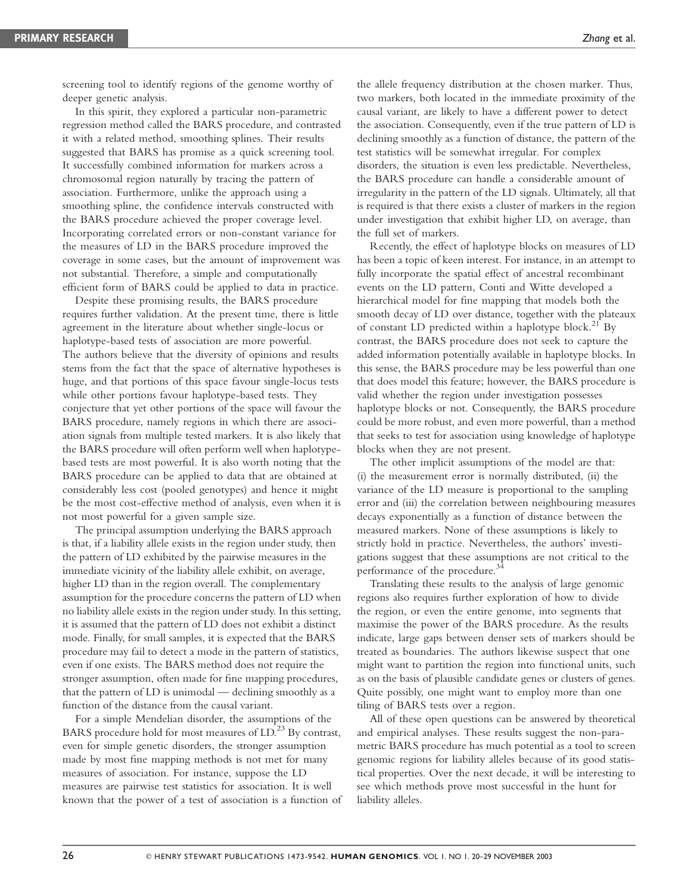screening tool to identify regions of the genome worthy of deeper genetic analysis.

In this spirit, they explored a particular non-parametric regression method called the BARS procedure, and contrasted it with a related method, smoothing splines. Their results suggested that BARS has promise as a quick screening tool. It successfully combined information for markers across a chromosomal region naturally by tracing the pattern of association. Furthermore, unlike the approach using a smoothing spline, the confidence intervals constructed with the BARS procedure achieved the proper coverage level. Incorporating correlated errors or non-constant variance for the measures of LD in the BARS procedure improved the coverage in some cases, but the amount of improvement was not substantial. Therefore, a simple and computationally efficient form of BARS could be applied to data in practice.

Despite these promising results, the BARS procedure requires further validation. At the present time, there is little agreement in the literature about whether single-locus or haplotype-based tests of association are more powerful. The authors believe that the diversity of opinions and results stems from the fact that the space of alternative hypotheses is huge, and that portions of this space favour single-locus tests while other portions favour haplotype-based tests. They conjecture that yet other portions of the space will favour the BARS procedure, namely regions in which there are association signals from multiple tested markers. It is also likely that the BARS procedure will often perform well when haplotypebased tests are most powerful. It is also worth noting that the BARS procedure can be applied to data that are obtained at considerably less cost (pooled genotypes) and hence it might be the most cost-effective method of analysis, even when it is not most powerful for a given sample size.

The principal assumption underlying the BARS approach is that, if a liability allele exists in the region under study, then the pattern of LD exhibited by the pairwise measures in the immediate vicinity of the liability allele exhibit, on average, higher LD than in the region overall. The complementary assumption for the procedure concerns the pattern of LD when no liability allele exists in the region under study. In this setting, it is assumed that the pattern of LD does not exhibit a distinct mode. Finally, for small samples, it is expected that the BARS procedure may fail to detect a mode in the pattern of statistics, even if one exists. The BARS method does not require the stronger assumption, often made for fine mapping procedures, that the pattern of LD is unimodal — declining smoothly as a function of the distance from the causal variant.

For a simple Mendelian disorder, the assumptions of the BARS procedure hold for most measures of LD.<sup>23</sup> By contrast, even for simple genetic disorders, the stronger assumption made by most fine mapping methods is not met for many measures of association. For instance, suppose the LD measures are pairwise test statistics for association. It is well known that the power of a test of association is a function of the allele frequency distribution at the chosen marker. Thus, two markers, both located in the immediate proximity of the causal variant, are likely to have a different power to detect the association. Consequently, even if the true pattern of LD is declining smoothly as a function of distance, the pattern of the test statistics will be somewhat irregular. For complex disorders, the situation is even less predictable. Nevertheless, the BARS procedure can handle a considerable amount of irregularity in the pattern of the LD signals. Ultimately, all that is required is that there exists a cluster of markers in the region under investigation that exhibit higher LD, on average, than the full set of markers.

Recently, the effect of haplotype blocks on measures of LD has been a topic of keen interest. For instance, in an attempt to fully incorporate the spatial effect of ancestral recombinant events on the LD pattern, Conti and Witte developed a hierarchical model for fine mapping that models both the smooth decay of LD over distance, together with the plateaux of constant LD predicted within a haplotype block.<sup>21</sup> By contrast, the BARS procedure does not seek to capture the added information potentially available in haplotype blocks. In this sense, the BARS procedure may be less powerful than one that does model this feature; however, the BARS procedure is valid whether the region under investigation possesses haplotype blocks or not. Consequently, the BARS procedure could be more robust, and even more powerful, than a method that seeks to test for association using knowledge of haplotype blocks when they are not present.

The other implicit assumptions of the model are that: (i) the measurement error is normally distributed, (ii) the variance of the LD measure is proportional to the sampling error and (iii) the correlation between neighbouring measures decays exponentially as a function of distance between the measured markers. None of these assumptions is likely to strictly hold in practice. Nevertheless, the authors' investigations suggest that these assumptions are not critical to the performance of the procedure.<sup>34</sup>

Translating these results to the analysis of large genomic regions also requires further exploration of how to divide the region, or even the entire genome, into segments that maximise the power of the BARS procedure. As the results indicate, large gaps between denser sets of markers should be treated as boundaries. The authors likewise suspect that one might want to partition the region into functional units, such as on the basis of plausible candidate genes or clusters of genes. Quite possibly, one might want to employ more than one tiling of BARS tests over a region.

All of these open questions can be answered by theoretical and empirical analyses. These results suggest the non-parametric BARS procedure has much potential as a tool to screen genomic regions for liability alleles because of its good statistical properties. Over the next decade, it will be interesting to see which methods prove most successful in the hunt for liability alleles.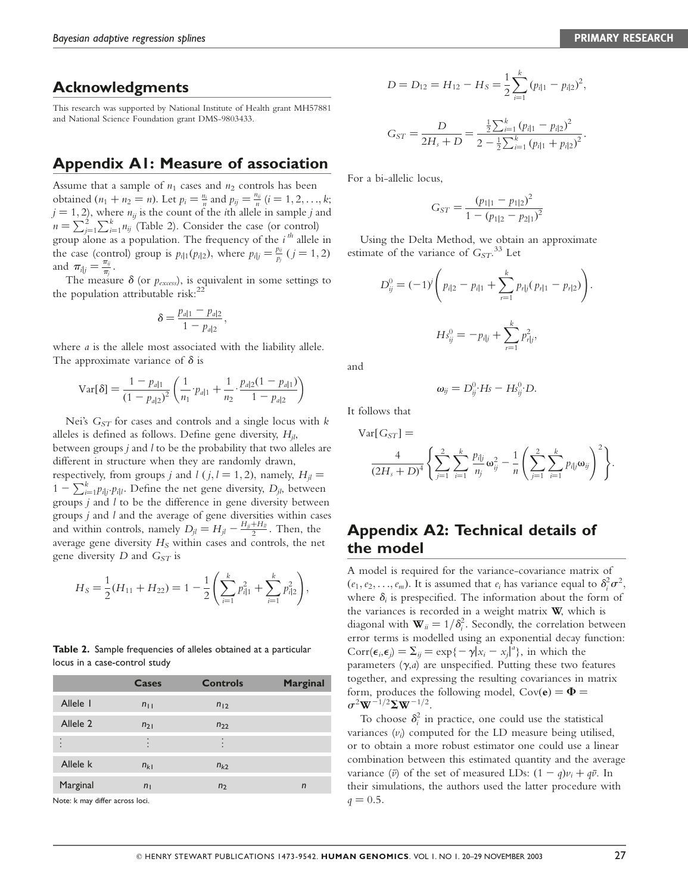# Acknowledgments

This research was supported by National Institute of Health grant MH57881 and National Science Foundation grant DMS-9803433.

# Appendix A1: Measure of association

Assume that a sample of  $n_1$  cases and  $n_2$  controls has been obtained  $(n_1 + n_2 = n)$ . Let  $p_i = \frac{n_i}{n}$  and  $p_{ij} = \frac{n_{ij}}{n}$   $(i = 1, 2, ..., k;$  $j = 1, 2$ , where  $n_{ij}$  is the count of the *i*th allele in sample j and  $n = \sum_{j=1}^{2} \sum_{k=1}^{k} n_{ij}$  (Table 2). Consider the case (or control) group alone as a population. The frequency of the  $i^{th}$  allele in the case (control) group is  $p_{i|1}(p_{i|2})$ , where  $p_{i|j} = \frac{p_{ij}}{p_j}$   $(j = 1, 2)$ and  $\pi_{i|j} = \frac{\pi_{ij}}{\pi_j}$ .

The measure  $\delta$  (or  $p_{excess}$ ), is equivalent in some settings to the population attributable risk: $^{22}$ 

$$
\delta = \frac{p_{a|1} - p_{a|2}}{1 - p_{a|2}},
$$

where *a* is the allele most associated with the liability allele. The approximate variance of  $\delta$  is

$$
\text{Var}[\delta] = \frac{1 - p_{d|1}}{(1 - p_{d|2})^2} \left( \frac{1}{n_1} \cdot p_{d|1} + \frac{1}{n_2} \cdot \frac{p_{d|2} (1 - p_{d|1})}{1 - p_{d|2}} \right)
$$

Nei's  $G_{ST}$  for cases and controls and a single locus with  $k$ alleles is defined as follows. Define gene diversity,  $H_{il}$ , between groups  $j$  and  $l$  to be the probability that two alleles are different in structure when they are randomly drawn, respectively, from groups *j* and *l* (*j*, *l* = 1, 2), namely,  $H<sub>i</sub>$  =  $1 - \sum_{i=1}^{k} p_{i|j} \cdot p_{i|l}$ . Define the net gene diversity,  $D_{jl}$ , between groups j and l to be the difference in gene diversity between groups  $j$  and  $l$  and the average of gene diversities within cases and within controls, namely  $D_{jl} = H_{jl} - \frac{H_{jj} + H_{ll}}{2}$ . Then, the average gene diversity  $H_S$  within cases and controls, the net gene diversity D and  $G_{ST}$  is

$$
H_S = \frac{1}{2}(H_{11} + H_{22}) = 1 - \frac{1}{2}\left(\sum_{i=1}^k p_{i|1}^2 + \sum_{i=1}^k p_{i|2}^2\right),
$$

Table 2. Sample frequencies of alleles obtained at a particular locus in a case-control study

|          | <b>Cases</b>   | <b>Controls</b> | <b>Marginal</b> |
|----------|----------------|-----------------|-----------------|
| Allele I | $n_{11}$       | $n_{12}$        |                 |
| Allele 2 | $n_{21}$       | $n_{22}$        |                 |
| ٠        |                |                 |                 |
| Allele k | $n_{k1}$       | $n_{k2}$        |                 |
| Marginal | n <sub>1</sub> | n <sub>2</sub>  | n               |

Note: k may differ across loci.

$$
D = D_{12} = H_{12} - H_S = \frac{1}{2} \sum_{i=1}^{k} (p_{i|1} - p_{i|2})^2,
$$

$$
G_{ST} = \frac{D}{2H_s + D} = \frac{\frac{1}{2}\sum_{i=1}^{k} (p_{i|1} - p_{i|2})^2}{2 - \frac{1}{2}\sum_{i=1}^{k} (p_{i|1} + p_{i|2})^2}.
$$

For a bi-allelic locus,

$$
G_{ST} = \frac{(p_{1|1} - p_{1|2})^2}{1 - (p_{1|2} - p_{2|1})^2}
$$

Using the Delta Method, we obtain an approximate estimate of the variance of  $G_{ST}$ .<sup>33</sup> Let

$$
D_{ij}^{0} = (-1)^{j} \left( p_{i|2} - p_{i|1} + \sum_{r=1}^{k} p_{r|j} (p_{r|1} - p_{r|2}) \right).
$$

$$
Hs_{ij}^{0} = -p_{i|j} + \sum_{r=1}^{k} p_{r|j}^{2},
$$

and

$$
\omega_{ij}=D_{ij}^0\cdot Hs-Hs_{ij}^0\cdot D.
$$

It follows that

 $Var[G_{ST}] =$ 

$$
\frac{4}{(2H_s+D)^4}\left\{\sum_{j=1}^2\sum_{i=1}^k\frac{p_{ijj}}{n_j}\omega_{ij}^2-\frac{1}{n}\left(\sum_{j=1}^2\sum_{i=1}^k p_{ijj}\omega_{ij}\right)^2\right\}.
$$

# Appendix A2: Technical details of the model

A model is required for the variance-covariance matrix of  $(e_1, e_2, \ldots, e_m)$ . It is assumed that  $e_i$  has variance equal to  $\delta_i^2 \sigma^2$ , where  $\delta_i$  is prespecified. The information about the form of the variances is recorded in a weight matrix  $W$ , which is diagonal with  $\mathbf{W}_{ii} = 1/\delta_i^2$ . Secondly, the correlation between error terms is modelled using an exponential decay function:  $Corr(\epsilon_i, \epsilon_j) = \sum_{ij} \epsilon_i = \exp\{-\gamma |\vec{x}_i - x_j|^a\}$ , in which the parameters  $(\gamma, a)$  are unspecified. Putting these two features together, and expressing the resulting covariances in matrix form, produces the following model,  $Cov(e) = \Phi =$  $\sigma^2 W^{-1/2} \Sigma W^{-1/2}$ .

To choose  $\delta_i^2$  in practice, one could use the statistical variances  $(v_i)$  computed for the LD measure being utilised, or to obtain a more robust estimator one could use a linear combination between this estimated quantity and the average variance ( $\bar{v}$ ) of the set of measured LDs:  $(1 - q)v_i + q\bar{v}$ . In their simulations, the authors used the latter procedure with  $q = 0.5.$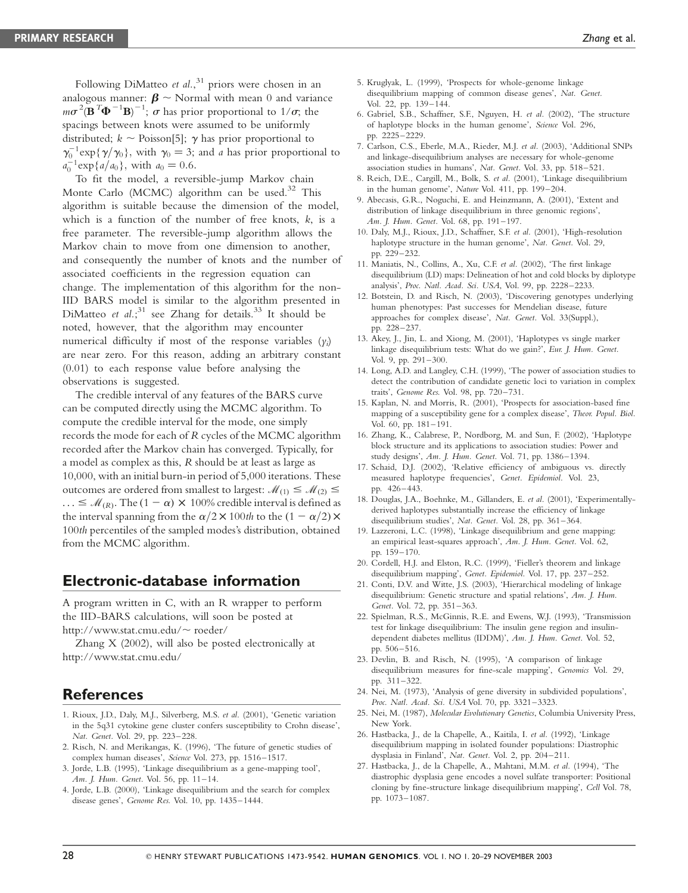Following DiMatteo et al.,<sup>31</sup> priors were chosen in an analogous manner:  $\beta \sim$  Normal with mean 0 and variance  $m\sigma^2(\mathbf{B}^T\mathbf{\Phi}^{-1}\mathbf{B})^{-1}$ ;  $\sigma$  has prior proportional to 1/ $\sigma$ ; the spacings between knots were assumed to be uniformly distributed;  $k \sim$  Poisson[5];  $\gamma$  has prior proportional to  $\gamma_0^{-1} \exp{\gamma/\gamma_0}$ , with  $\gamma_0 = 3$ ; and a has prior proportional to  $a_0^{-1} \exp\{a/a_0\}$ , with  $a_0 = 0.6$ .

To fit the model, a reversible-jump Markov chain Monte Carlo (MCMC) algorithm can be used.<sup>32</sup> This algorithm is suitable because the dimension of the model, which is a function of the number of free knots,  $k$ , is a free parameter. The reversible-jump algorithm allows the Markov chain to move from one dimension to another, and consequently the number of knots and the number of associated coefficients in the regression equation can change. The implementation of this algorithm for the non-IID BARS model is similar to the algorithm presented in DiMatteo et  $al.^{31}$  see Zhang for details.<sup>33</sup> It should be noted, however, that the algorithm may encounter numerical difficulty if most of the response variables  $(y_i)$ are near zero. For this reason, adding an arbitrary constant (0.01) to each response value before analysing the observations is suggested.

The credible interval of any features of the BARS curve can be computed directly using the MCMC algorithm. To compute the credible interval for the mode, one simply records the mode for each of R cycles of the MCMC algorithm recorded after the Markov chain has converged. Typically, for a model as complex as this, R should be at least as large as 10,000, with an initial burn-in period of 5,000 iterations. These outcomes are ordered from smallest to largest:  $\mathcal{M}_{(1)} \leq \mathcal{M}_{(2)} \leq$  $\ldots \leq M_{(R)}$ . The  $(1 - \alpha) \times 100\%$  credible interval is defined as the interval spanning from the  $\alpha/2 \times 100$ th to the  $(1 - \alpha/2) \times$ 100th percentiles of the sampled modes's distribution, obtained from the MCMC algorithm.

## Electronic-database information

A program written in C, with an R wrapper to perform the IID-BARS calculations, will soon be posted at http://www.stat.cmu.edu/~ roeder/

Zhang X (2002), will also be posted electronically at http://www.stat.cmu.edu/

## **References**

- 1. Rioux, J.D., Daly, M.J., Silverberg, M.S. et al. (2001), 'Genetic variation in the 5q31 cytokine gene cluster confers susceptibility to Crohn disease', Nat. Genet. Vol. 29, pp. 223–228.
- 2. Risch, N. and Merikangas, K. (1996), 'The future of genetic studies of complex human diseases', Science Vol. 273, pp. 1516–1517.
- 3. Jorde, L.B. (1995), 'Linkage disequilibrium as a gene-mapping tool', Am. J. Hum. Genet. Vol. 56, pp. 11–14.
- 4. Jorde, L.B. (2000), 'Linkage disequilibrium and the search for complex disease genes', Genome Res. Vol. 10, pp. 1435–1444.
- 5. Kruglyak, L. (1999), 'Prospects for whole-genome linkage disequilibrium mapping of common disease genes', Nat. Genet. Vol. 22, pp. 139–144.
- 6. Gabriel, S.B., Schaffner, S.F., Nguyen, H. et al. (2002), 'The structure of haplotype blocks in the human genome', Science Vol. 296, pp. 2225–2229.
- 7. Carlson, C.S., Eberle, M.A., Rieder, M.J. et al. (2003), 'Additional SNPs and linkage-disequilibrium analyses are necessary for whole-genome association studies in humans', Nat. Genet. Vol. 33, pp. 518–521.
- 8. Reich, D.E., Cargill, M., Bolk, S. et al. (2001), 'Linkage disequilibrium in the human genome', Nature Vol. 411, pp. 199–204.
- 9. Abecasis, G.R., Noguchi, E. and Heinzmann, A. (2001), 'Extent and distribution of linkage disequilibrium in three genomic regions', Am. J. Hum. Genet. Vol. 68, pp. 191–197.
- 10. Daly, M.J., Rioux, J.D., Schaffner, S.F. et al. (2001), 'High-resolution haplotype structure in the human genome', Nat. Genet. Vol. 29, pp. 229–232.
- 11. Maniatis, N., Collins, A., Xu, C.F. et al. (2002), 'The first linkage disequilibrium (LD) maps: Delineation of hot and cold blocks by diplotype analysis', Proc. Natl. Acad. Sci. USA, Vol. 99, pp. 2228–2233.
- 12. Botstein, D. and Risch, N. (2003), 'Discovering genotypes underlying human phenotypes: Past successes for Mendelian disease, future approaches for complex disease', Nat. Genet. Vol. 33(Suppl.), pp. 228–237.
- 13. Akey, J., Jin, L. and Xiong, M. (2001), 'Haplotypes vs single marker linkage disequilibrium tests: What do we gain?', Eur. J. Hum. Genet. Vol. 9, pp. 291–300.
- 14. Long, A.D. and Langley, C.H. (1999), 'The power of association studies to detect the contribution of candidate genetic loci to variation in complex traits', Genome Res. Vol. 98, pp. 720–731.
- 15. Kaplan, N. and Morris, R. (2001), 'Prospects for association-based fine mapping of a susceptibility gene for a complex disease', Theor. Popul. Biol. Vol. 60, pp. 181–191.
- 16. Zhang, K., Calabrese, P., Nordborg, M. and Sun, F. (2002), 'Haplotype block structure and its applications to association studies: Power and study designs', Am. J. Hum. Genet. Vol. 71, pp. 1386–1394.
- 17. Schaid, D.J. (2002), 'Relative efficiency of ambiguous vs. directly measured haplotype frequencies', Genet. Epidemiol. Vol. 23, pp. 426–443.
- 18. Douglas, J.A., Boehnke, M., Gillanders, E. et al. (2001), 'Experimentallyderived haplotypes substantially increase the efficiency of linkage disequilibrium studies', Nat. Genet. Vol. 28, pp. 361–364.
- 19. Lazzeroni, L.C. (1998), 'Linkage disequilibrium and gene mapping: an empirical least-squares approach', Am. J. Hum. Genet. Vol. 62, pp. 159–170.
- 20. Cordell, H.J. and Elston, R.C. (1999), 'Fieller's theorem and linkage disequilibrium mapping', Genet. Epidemiol. Vol. 17, pp. 237–252.
- 21. Conti, D.V. and Witte, J.S. (2003), 'Hierarchical modeling of linkage disequilibrium: Genetic structure and spatial relations', Am. J. Hum. Genet. Vol. 72, pp. 351–363.
- 22. Spielman, R.S., McGinnis, R.E. and Ewens, W.J. (1993), 'Transmission test for linkage disequilibrium: The insulin gene region and insulindependent diabetes mellitus (IDDM)', Am. J. Hum. Genet. Vol. 52, pp. 506–516.
- 23. Devlin, B. and Risch, N. (1995), 'A comparison of linkage disequilibrium measures for fine-scale mapping', Genomics Vol. 29, pp. 311–322.
- 24. Nei, M. (1973), 'Analysis of gene diversity in subdivided populations', Proc. Natl. Acad. Sci. USA Vol. 70, pp. 3321-3323.
- 25. Nei, M. (1987), Molecular Evolutionary Genetics, Columbia University Press, New York.
- 26. Hastbacka, J., de la Chapelle, A., Kaitila, I. et al. (1992), 'Linkage disequilibrium mapping in isolated founder populations: Diastrophic dysplasia in Finland', Nat. Genet. Vol. 2, pp. 204–211.
- 27. Hastbacka, J., de la Chapelle, A., Mahtani, M.M. et al. (1994), 'The diastrophic dysplasia gene encodes a novel sulfate transporter: Positional cloning by fine-structure linkage disequilibrium mapping', Cell Vol. 78, pp. 1073–1087.